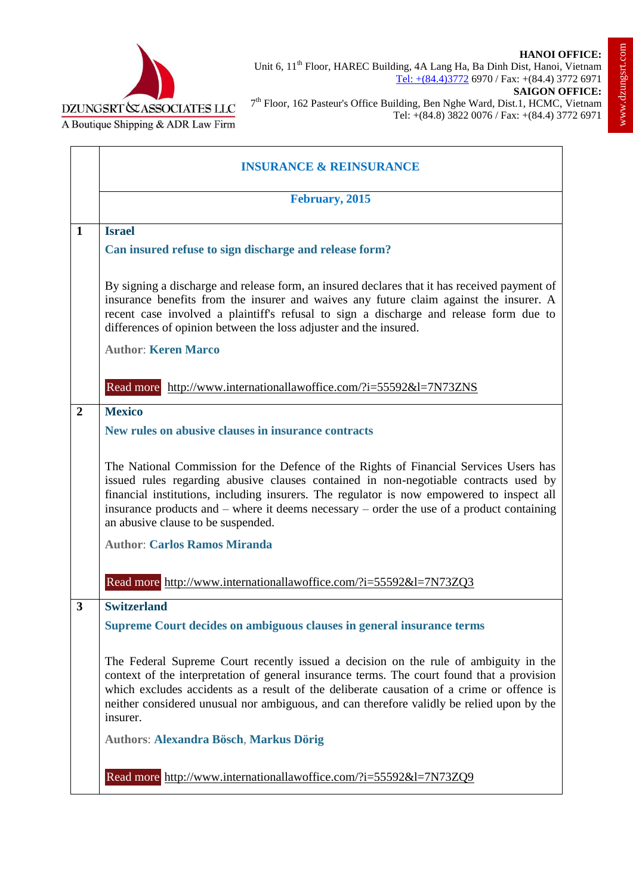

 $\overline{\phantom{0}}$ 



 $\mathbf{r}$ 

|                | <b>INSURANCE &amp; REINSURANCE</b>                                                                                                                                                                                                                                                                                                                                                                            |
|----------------|---------------------------------------------------------------------------------------------------------------------------------------------------------------------------------------------------------------------------------------------------------------------------------------------------------------------------------------------------------------------------------------------------------------|
|                | February, 2015                                                                                                                                                                                                                                                                                                                                                                                                |
| $\mathbf{1}$   | <b>Israel</b>                                                                                                                                                                                                                                                                                                                                                                                                 |
|                | Can insured refuse to sign discharge and release form?                                                                                                                                                                                                                                                                                                                                                        |
|                | By signing a discharge and release form, an insured declares that it has received payment of<br>insurance benefits from the insurer and waives any future claim against the insurer. A<br>recent case involved a plaintiff's refusal to sign a discharge and release form due to<br>differences of opinion between the loss adjuster and the insured.                                                         |
|                | <b>Author: Keren Marco</b>                                                                                                                                                                                                                                                                                                                                                                                    |
|                | Read more http://www.internationallawoffice.com/?i=55592&l=7N73ZNS                                                                                                                                                                                                                                                                                                                                            |
| $\overline{2}$ | <b>Mexico</b>                                                                                                                                                                                                                                                                                                                                                                                                 |
|                | New rules on abusive clauses in insurance contracts                                                                                                                                                                                                                                                                                                                                                           |
|                | The National Commission for the Defence of the Rights of Financial Services Users has<br>issued rules regarding abusive clauses contained in non-negotiable contracts used by<br>financial institutions, including insurers. The regulator is now empowered to inspect all<br>insurance products and – where it deems necessary – order the use of a product containing<br>an abusive clause to be suspended. |
|                | <b>Author: Carlos Ramos Miranda</b>                                                                                                                                                                                                                                                                                                                                                                           |
|                | Read more http://www.internationallawoffice.com/?i=55592&l=7N73ZQ3                                                                                                                                                                                                                                                                                                                                            |
| 3              | <b>Switzerland</b>                                                                                                                                                                                                                                                                                                                                                                                            |
|                | Supreme Court decides on ambiguous clauses in general insurance terms                                                                                                                                                                                                                                                                                                                                         |
|                | The Federal Supreme Court recently issued a decision on the rule of ambiguity in the<br>context of the interpretation of general insurance terms. The court found that a provision<br>which excludes accidents as a result of the deliberate causation of a crime or offence is<br>neither considered unusual nor ambiguous, and can therefore validly be relied upon by the<br>insurer.                      |
|                | <b>Authors: Alexandra Bösch, Markus Dörig</b>                                                                                                                                                                                                                                                                                                                                                                 |
|                | Read more http://www.internationallawoffice.com/?i=55592&l=7N73ZQ9                                                                                                                                                                                                                                                                                                                                            |